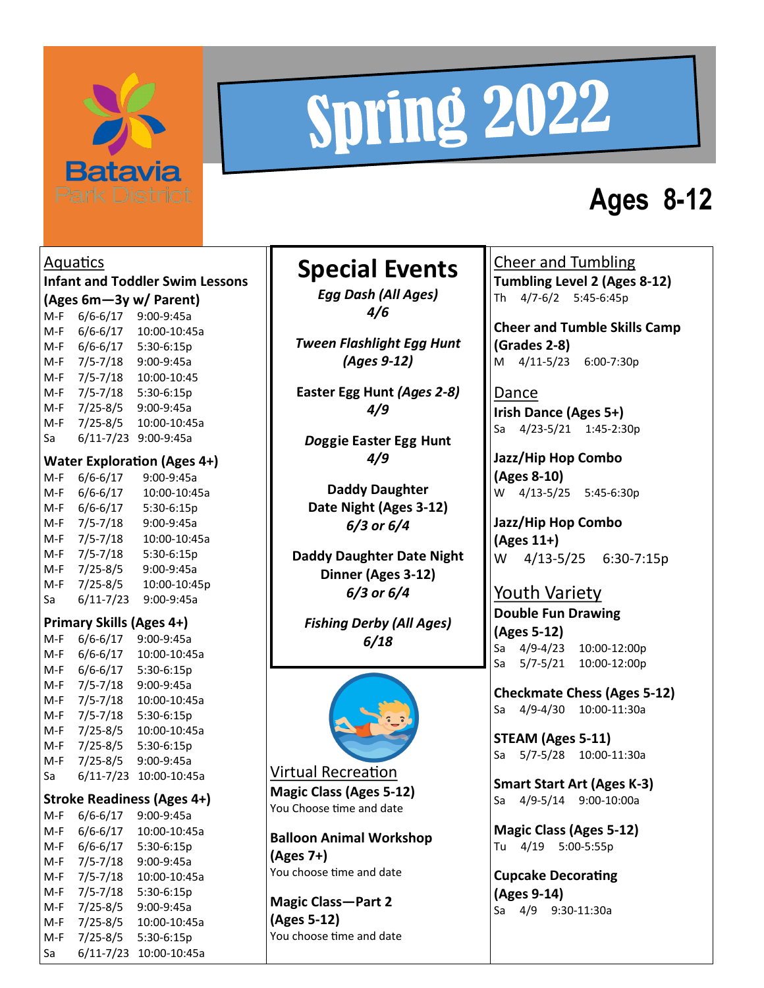

# Spring 2022

## **Ages 8-12**

Aquatics **Infant and Toddler Swim Lessons (Ages 6m—3y w/ Parent)** M-F 6/6-6/17 9:00-9:45a M-F 6/6-6/17 10:00-10:45a M-F 6/6-6/17 5:30-6:15p M-F 7/5-7/18 9:00-9:45a M-F 7/5-7/18 10:00-10:45 M-F 7/5-7/18 5:30-6:15p M-F 7/25-8/5 9:00-9:45a M-F 7/25-8/5 10:00-10:45a Sa 6/11-7/23 9:00-9:45a **Water Exploration (Ages 4+)** M-F 6/6-6/17 9:00-9:45a M-F 6/6-6/17 10:00-10:45a M-F 6/6-6/17 5:30-6:15p M-F 7/5-7/18 9:00-9:45a M-F 7/5-7/18 10:00-10:45a M-F 7/5-7/18 5:30-6:15p M-F 7/25-8/5 9:00-9:45a M-F 7/25-8/5 10:00-10:45p Sa 6/11-7/23 9:00-9:45a **Primary Skills (Ages 4+)** M-F 6/6-6/17 9:00-9:45a M-F 6/6-6/17 10:00-10:45a M-F 6/6-6/17 5:30-6:15p M-F 7/5-7/18 9:00-9:45a M-F 7/5-7/18 10:00-10:45a

M-F 7/5-7/18 5:30-6:15p M-F 7/25-8/5 10:00-10:45a M-F 7/25-8/5 5:30-6:15p M-F 7/25-8/5 9:00-9:45a Sa 6/11-7/23 10:00-10:45a **Stroke Readiness (Ages 4+)** M-F 6/6-6/17 9:00-9:45a M-F 6/6-6/17 10:00-10:45a M-F 6/6-6/17 5:30-6:15p M-F 7/5-7/18 9:00-9:45a M-F 7/5-7/18 10:00-10:45a M-F 7/5-7/18 5:30-6:15p M-F 7/25-8/5 9:00-9:45a M-F 7/25-8/5 10:00-10:45a M-F 7/25-8/5 5:30-6:15p Sa 6/11-7/23 10:00-10:45a

### **Special Events**

*Egg Dash (All Ages) 4/6*

*Tween Flashlight Egg Hunt (Ages 9-12)*

**Easter Egg Hunt** *(Ages 2-8) 4/9*

*Do***ggie Easter Egg Hunt** *4/9*

**Daddy Daughter Date Night (Ages 3-12)**  *6/3 or 6/4*

**Daddy Daughter Date Night Dinner (Ages 3-12)** *6/3 or 6/4*

*Fishing Derby (All Ages) 6/18*



Virtual Recreation **Magic Class (Ages 5-12)** You Choose time and date

**Balloon Animal Workshop (Ages 7+)** You choose time and date

**Magic Class—Part 2 (Ages 5-12)** You choose time and date Cheer and Tumbling **Tumbling Level 2 (Ages 8-12)** Th 4/7-6/2 5:45-6:45p

**Cheer and Tumble Skills Camp (Grades 2-8)** M 4/11-5/23 6:00-7:30p

Dance **Irish Dance (Ages 5+)** Sa 4/23-5/21 1:45-2:30p

**Jazz/Hip Hop Combo (Ages 8-10)** W 4/13-5/25 5:45-6:30p

**Jazz/Hip Hop Combo (Ages 11+)** W 4/13-5/25 6:30-7:15p

#### Youth Variety

**Double Fun Drawing (Ages 5-12)** Sa 4/9-4/23 10:00-12:00p Sa 5/7-5/21 10:00-12:00p

**Checkmate Chess (Ages 5-12)** Sa 4/9-4/30 10:00-11:30a

**STEAM (Ages 5-11)** Sa 5/7-5/28 10:00-11:30a

**Smart Start Art (Ages K-3)** Sa 4/9-5/14 9:00-10:00a

**Magic Class (Ages 5-12)** Tu 4/19 5:00-5:55p

**Cupcake Decorating (Ages 9-14)** Sa 4/9 9:30-11:30a